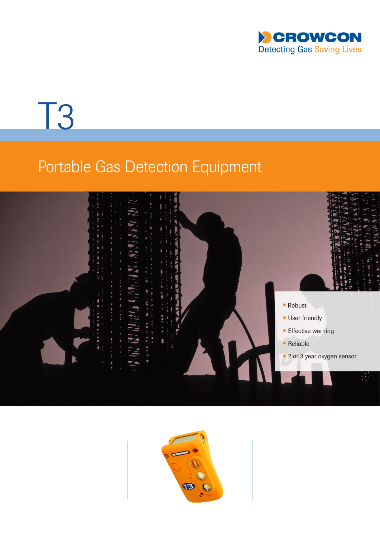

# T3

## Portable Gas Detection Equipment



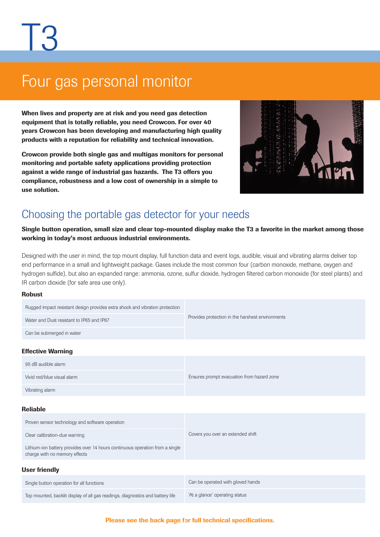## Four gas personal monitor

When lives and property are at risk and you need gas detection equipment that is totally reliable, you need Crowcon. For over 40 years Crowcon has been developing and manufacturing high quality products with a reputation for reliability and technical innovation.

Crowcon provide both single gas and multigas monitors for personal monitoring and portable safety applications providing protection against a wide range of industrial gas hazards. The T3 offers you compliance, robustness and a low cost of ownership in a simple to use solution.



### Choosing the portable gas detector for your needs

Single button operation, small size and clear top-mounted display make the T3 a favorite in the market among those working in today's most arduous industrial environments.

Designed with the user in mind, the top mount display, full function data and event logs, audible, visual and vibrating alarms deliver top end performance in a small and lightweight package. Gases include the most common four (carbon monoxide, methane, oxygen and hydrogen sulfide), but also an expanded range: ammonia, ozone, sulfur dioxide, hydrogen filtered carbon monoxide (for steel plants) and IR carbon dioxide (for safe area use only).

#### Robust

| Rugged impact resistant design provides extra shock and vibration protection                                   | Provides protection in the harshest environments |  |
|----------------------------------------------------------------------------------------------------------------|--------------------------------------------------|--|
| Water and Dust resistant to IP65 and IP67                                                                      |                                                  |  |
| Can be submerged in water                                                                                      |                                                  |  |
| <b>Effective Warning</b>                                                                                       |                                                  |  |
| 95 dB audible alarm                                                                                            |                                                  |  |
| Vivid red/blue visual alarm                                                                                    | Ensures prompt evacuation from hazard zone       |  |
| Vibrating alarm                                                                                                |                                                  |  |
| <b>Reliable</b>                                                                                                |                                                  |  |
| Proven sensor technology and software operation                                                                |                                                  |  |
| Clear calibration-due warning                                                                                  | Covers you over an extended shift                |  |
| Lithium-ion battery provides over 14 hours continuous operation from a single<br>charge with no memory effects |                                                  |  |
| <b>User friendly</b>                                                                                           |                                                  |  |
| Single button operation for all functions                                                                      | Can be operated with gloved hands                |  |
| Top mounted, backlit display of all gas readings, diagnostics and battery life                                 | 'At a glance' operating status                   |  |

#### Please see the back page for full technical specifications.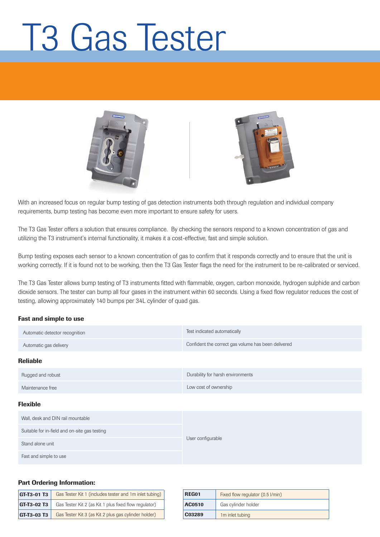## T3 Gas Tester





With an increased focus on regular bump testing of gas detection instruments both through regulation and individual company requirements, bump testing has become even more important to ensure safety for users.

The T3 Gas Tester offers a solution that ensures compliance. By checking the sensors respond to a known concentration of gas and utilizing the T3 instrument's internal functionality, it makes it a cost-effective, fast and simple solution.

Bump testing exposes each sensor to a known concentration of gas to confirm that it responds correctly and to ensure that the unit is working correctly. If it is found not to be working, then the T3 Gas Tester flags the need for the instrument to be re-calibrated or serviced.

The T3 Gas Tester allows bump testing of T3 instruments fitted with flammable, oxygen, carbon monoxide, hydrogen sulphide and carbon dioxide sensors. The tester can bump all four gases in the instrument within 60 seconds. Using a fixed flow regulator reduces the cost of testing, allowing approximately 140 bumps per 34L cylinder of quad gas.

#### Fast and simple to use

| Automatic detector recognition                | Test indicated automatically                        |
|-----------------------------------------------|-----------------------------------------------------|
| Automatic gas delivery                        | Confident the correct gas volume has been delivered |
| <b>Reliable</b>                               |                                                     |
| Rugged and robust                             | Durability for harsh environments                   |
| Maintenance free                              | Low cost of ownership                               |
| <b>Flexible</b>                               |                                                     |
| Wall, desk and DIN rail mountable             |                                                     |
| Suitable for in-field and on-site gas testing |                                                     |
| Stand alone unit                              | User configurable                                   |
| Fast and simple to use                        |                                                     |

#### Part Ordering Information:

| Gas Tester Kit 1 (includes tester and 1m inlet tubing)<br><b>GT-T3-01 T3</b> |                                                       |  |
|------------------------------------------------------------------------------|-------------------------------------------------------|--|
| $GT-T3-02T3$                                                                 | Gas Tester Kit 2 (as Kit 1 plus fixed flow regulator) |  |
| GT-T3-03 T3                                                                  | Gas Tester Kit 3 (as Kit 2 plus gas cylinder holder)  |  |

| REG01  | Fixed flow regulator (0.5 l/min) |
|--------|----------------------------------|
| AC0510 | Gas cylinder holder              |
| C03289 | 1m inlet tubing                  |
|        |                                  |